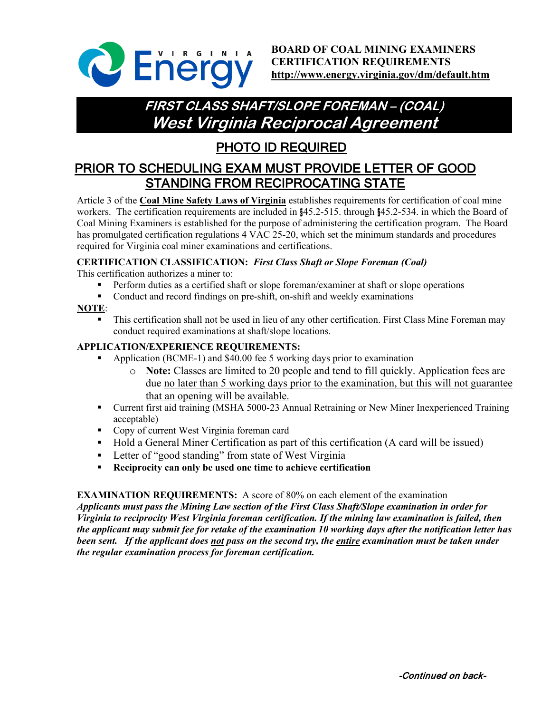

**BOARD OF COAL MINING EXAMINERS CERTIFICATION REQUIREMENTS <http://www.energy.virginia.gov/dm/default.htm>**

# **FIRST CLASS SHAFT/SLOPE FOREMAN – (COAL) West Virginia Reciprocal Agreement**

## PHOTO ID REQUIRED

## PRIOR TO SCHEDULING EXAM MUST PROVIDE LETTER OF GOOD STANDING FROM RECIPROCATING STATE

Article 3 of the **Coal Mine Safety Laws of Virginia** establishes requirements for certification of coal mine workers. The certification requirements are included in §45.2-515. through §45.2-534. in which the Board of Coal Mining Examiners is established for the purpose of administering the certification program. The Board has promulgated certification regulations 4 VAC 25-20, which set the minimum standards and procedures required for Virginia coal miner examinations and certifications.

### **CERTIFICATION CLASSIFICATION:** *First Class Shaft or Slope Foreman (Coal)*

This certification authorizes a miner to:

- Perform duties as a certified shaft or slope foreman/examiner at shaft or slope operations
- Conduct and record findings on pre-shift, on-shift and weekly examinations

#### **NOTE**:

 This certification shall not be used in lieu of any other certification. First Class Mine Foreman may conduct required examinations at shaft/slope locations.

#### **APPLICATION/EXPERIENCE REQUIREMENTS:**

- Application (BCME-1) and \$40.00 fee 5 working days prior to examination
	- o **Note:** Classes are limited to 20 people and tend to fill quickly. Application fees are due no later than 5 working days prior to the examination, but this will not guarantee that an opening will be available.
- Current first aid training (MSHA 5000-23 Annual Retraining or New Miner Inexperienced Training acceptable)
- **Copy of current West Virginia foreman card**
- Hold a General Miner Certification as part of this certification (A card will be issued)
- **-** Letter of "good standing" from state of West Virginia
- **Reciprocity can only be used one time to achieve certification**

#### **EXAMINATION REQUIREMENTS:** A score of 80% on each element of the examination

*Applicants must pass the Mining Law section of the First Class Shaft/Slope examination in order for Virginia to reciprocity West Virginia foreman certification. If the mining law examination is failed, then the applicant may submit fee for retake of the examination 10 working days after the notification letter has been sent. If the applicant does not pass on the second try, the entire examination must be taken under the regular examination process for foreman certification.*